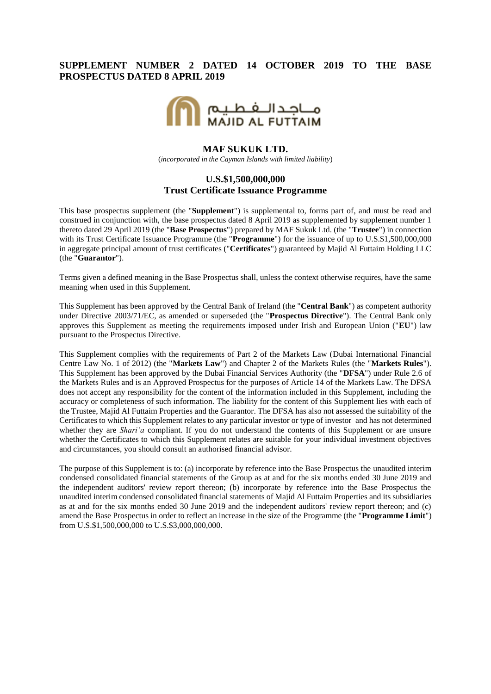## **SUPPLEMENT NUMBER 2 DATED 14 OCTOBER 2019 TO THE BASE PROSPECTUS DATED 8 APRIL 2019**



#### **MAF SUKUK LTD.**

(*incorporated in the Cayman Islands with limited liability*)

### **U.S.\$1,500,000,000 Trust Certificate Issuance Programme**

This base prospectus supplement (the "**Supplement**") is supplemental to, forms part of, and must be read and construed in conjunction with, the base prospectus dated 8 April 2019 as supplemented by supplement number 1 thereto dated 29 April 2019 (the "**Base Prospectus**") prepared by MAF Sukuk Ltd. (the "**Trustee**") in connection with its Trust Certificate Issuance Programme (the "**Programme**") for the issuance of up to U.S.\$1,500,000,000 in aggregate principal amount of trust certificates ("**Certificates**") guaranteed by Majid Al Futtaim Holding LLC (the "**Guarantor**").

Terms given a defined meaning in the Base Prospectus shall, unless the context otherwise requires, have the same meaning when used in this Supplement.

This Supplement has been approved by the Central Bank of Ireland (the "**Central Bank**") as competent authority under Directive 2003/71/EC, as amended or superseded (the "**Prospectus Directive**"). The Central Bank only approves this Supplement as meeting the requirements imposed under Irish and European Union ("**EU**") law pursuant to the Prospectus Directive.

This Supplement complies with the requirements of Part 2 of the Markets Law (Dubai International Financial Centre Law No. 1 of 2012) (the "**Markets Law**") and Chapter 2 of the Markets Rules (the "**Markets Rules**"). This Supplement has been approved by the Dubai Financial Services Authority (the "**DFSA**") under Rule 2.6 of the Markets Rules and is an Approved Prospectus for the purposes of Article 14 of the Markets Law. The DFSA does not accept any responsibility for the content of the information included in this Supplement, including the accuracy or completeness of such information. The liability for the content of this Supplement lies with each of the Trustee, Majid Al Futtaim Properties and the Guarantor. The DFSA has also not assessed the suitability of the Certificates to which this Supplement relates to any particular investor or type of investor and has not determined whether they are *Shari'a* compliant. If you do not understand the contents of this Supplement or are unsure whether the Certificates to which this Supplement relates are suitable for your individual investment objectives and circumstances, you should consult an authorised financial advisor.

The purpose of this Supplement is to: (a) incorporate by reference into the Base Prospectus the unaudited interim condensed consolidated financial statements of the Group as at and for the six months ended 30 June 2019 and the independent auditors' review report thereon; (b) incorporate by reference into the Base Prospectus the unaudited interim condensed consolidated financial statements of Majid Al Futtaim Properties and its subsidiaries as at and for the six months ended 30 June 2019 and the independent auditors' review report thereon; and (c) amend the Base Prospectus in order to reflect an increase in the size of the Programme (the "**Programme Limit**") from U.S.\$1,500,000,000 to U.S.\$3,000,000,000.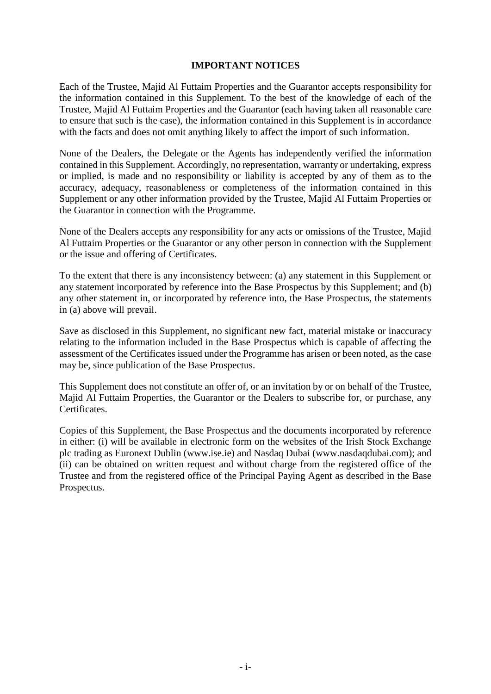## **IMPORTANT NOTICES**

Each of the Trustee, Majid Al Futtaim Properties and the Guarantor accepts responsibility for the information contained in this Supplement. To the best of the knowledge of each of the Trustee, Majid Al Futtaim Properties and the Guarantor (each having taken all reasonable care to ensure that such is the case), the information contained in this Supplement is in accordance with the facts and does not omit anything likely to affect the import of such information.

None of the Dealers, the Delegate or the Agents has independently verified the information contained in this Supplement. Accordingly, no representation, warranty or undertaking, express or implied, is made and no responsibility or liability is accepted by any of them as to the accuracy, adequacy, reasonableness or completeness of the information contained in this Supplement or any other information provided by the Trustee, Majid Al Futtaim Properties or the Guarantor in connection with the Programme.

None of the Dealers accepts any responsibility for any acts or omissions of the Trustee, Majid Al Futtaim Properties or the Guarantor or any other person in connection with the Supplement or the issue and offering of Certificates.

To the extent that there is any inconsistency between: (a) any statement in this Supplement or any statement incorporated by reference into the Base Prospectus by this Supplement; and (b) any other statement in, or incorporated by reference into, the Base Prospectus, the statements in (a) above will prevail.

Save as disclosed in this Supplement, no significant new fact, material mistake or inaccuracy relating to the information included in the Base Prospectus which is capable of affecting the assessment of the Certificates issued under the Programme has arisen or been noted, as the case may be, since publication of the Base Prospectus.

This Supplement does not constitute an offer of, or an invitation by or on behalf of the Trustee, Majid Al Futtaim Properties, the Guarantor or the Dealers to subscribe for, or purchase, any Certificates.

Copies of this Supplement, the Base Prospectus and the documents incorporated by reference in either: (i) will be available in electronic form on the websites of the Irish Stock Exchange plc trading as Euronext Dublin (www.ise.ie) and Nasdaq Dubai (www.nasdaqdubai.com); and (ii) can be obtained on written request and without charge from the registered office of the Trustee and from the registered office of the Principal Paying Agent as described in the Base Prospectus.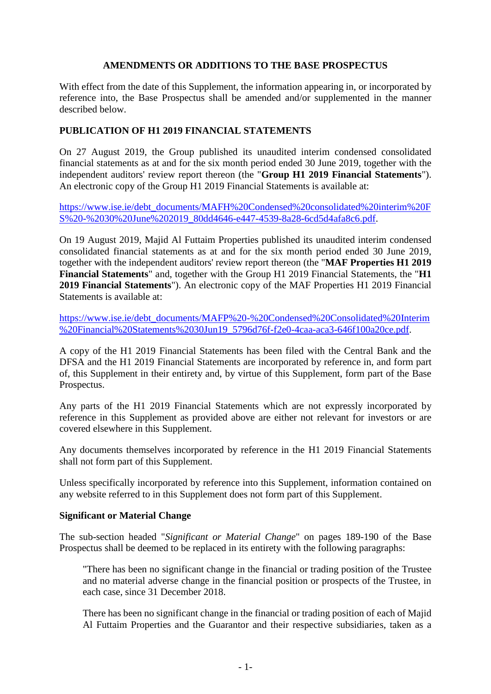## **AMENDMENTS OR ADDITIONS TO THE BASE PROSPECTUS**

With effect from the date of this Supplement, the information appearing in, or incorporated by reference into, the Base Prospectus shall be amended and/or supplemented in the manner described below.

# **PUBLICATION OF H1 2019 FINANCIAL STATEMENTS**

On 27 August 2019, the Group published its unaudited interim condensed consolidated financial statements as at and for the six month period ended 30 June 2019, together with the independent auditors' review report thereon (the "**Group H1 2019 Financial Statements**"). An electronic copy of the Group H1 2019 Financial Statements is available at:

[https://www.ise.ie/debt\\_documents/MAFH%20Condensed%20consolidated%20interim%20F](https://www.ise.ie/debt_documents/MAFH%20Condensed%20consolidated%20interim%20FS%20-%2030%20June%202019_80dd4646-e447-4539-8a28-6cd5d4afa8c6.pdf) [S%20-%2030%20June%202019\\_80dd4646-e447-4539-8a28-6cd5d4afa8c6.pdf.](https://www.ise.ie/debt_documents/MAFH%20Condensed%20consolidated%20interim%20FS%20-%2030%20June%202019_80dd4646-e447-4539-8a28-6cd5d4afa8c6.pdf)

On 19 August 2019, Majid Al Futtaim Properties published its unaudited interim condensed consolidated financial statements as at and for the six month period ended 30 June 2019, together with the independent auditors' review report thereon (the "**MAF Properties H1 2019 Financial Statements**" and, together with the Group H1 2019 Financial Statements, the "**H1 2019 Financial Statements**"). An electronic copy of the MAF Properties H1 2019 Financial Statements is available at:

[https://www.ise.ie/debt\\_documents/MAFP%20-%20Condensed%20Consolidated%20Interim](https://www.ise.ie/debt_documents/MAFP%20-%20Condensed%20Consolidated%20Interim%20Financial%20Statements%2030Jun19_5796d76f-f2e0-4caa-aca3-646f100a20ce.pdf) [%20Financial%20Statements%2030Jun19\\_5796d76f-f2e0-4caa-aca3-646f100a20ce.pdf.](https://www.ise.ie/debt_documents/MAFP%20-%20Condensed%20Consolidated%20Interim%20Financial%20Statements%2030Jun19_5796d76f-f2e0-4caa-aca3-646f100a20ce.pdf)

A copy of the H1 2019 Financial Statements has been filed with the Central Bank and the DFSA and the H1 2019 Financial Statements are incorporated by reference in, and form part of, this Supplement in their entirety and, by virtue of this Supplement, form part of the Base Prospectus.

Any parts of the H1 2019 Financial Statements which are not expressly incorporated by reference in this Supplement as provided above are either not relevant for investors or are covered elsewhere in this Supplement.

Any documents themselves incorporated by reference in the H1 2019 Financial Statements shall not form part of this Supplement.

Unless specifically incorporated by reference into this Supplement, information contained on any website referred to in this Supplement does not form part of this Supplement.

### **Significant or Material Change**

The sub-section headed "*Significant or Material Change*" on pages 189-190 of the Base Prospectus shall be deemed to be replaced in its entirety with the following paragraphs:

"There has been no significant change in the financial or trading position of the Trustee and no material adverse change in the financial position or prospects of the Trustee, in each case, since 31 December 2018.

There has been no significant change in the financial or trading position of each of Majid Al Futtaim Properties and the Guarantor and their respective subsidiaries, taken as a